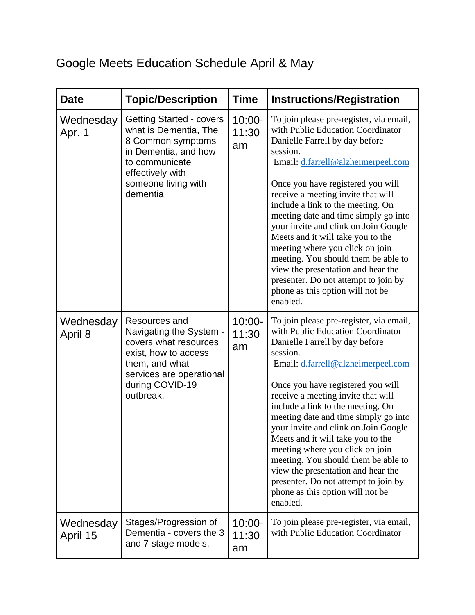## Google Meets Education Schedule April & May

| <b>Date</b>           | <b>Topic/Description</b>                                                                                                                                                       | <b>Time</b>              | <b>Instructions/Registration</b>                                                                                                                                                                                                                                                                                                                                                                                                                                                                                                                                                                              |
|-----------------------|--------------------------------------------------------------------------------------------------------------------------------------------------------------------------------|--------------------------|---------------------------------------------------------------------------------------------------------------------------------------------------------------------------------------------------------------------------------------------------------------------------------------------------------------------------------------------------------------------------------------------------------------------------------------------------------------------------------------------------------------------------------------------------------------------------------------------------------------|
| Wednesday<br>Apr. 1   | <b>Getting Started - covers</b><br>what is Dementia, The<br>8 Common symptoms<br>in Dementia, and how<br>to communicate<br>effectively with<br>someone living with<br>dementia | $10:00 -$<br>11:30<br>am | To join please pre-register, via email,<br>with Public Education Coordinator<br>Danielle Farrell by day before<br>session.<br>Email: d.farrell@alzheimerpeel.com<br>Once you have registered you will<br>receive a meeting invite that will<br>include a link to the meeting. On<br>meeting date and time simply go into<br>your invite and clink on Join Google<br>Meets and it will take you to the<br>meeting where you click on join<br>meeting. You should them be able to<br>view the presentation and hear the<br>presenter. Do not attempt to join by<br>phone as this option will not be<br>enabled. |
| Wednesday<br>April 8  | Resources and<br>Navigating the System -<br>covers what resources<br>exist, how to access<br>them, and what<br>services are operational<br>during COVID-19<br>outbreak.        | $10:00 -$<br>11:30<br>am | To join please pre-register, via email,<br>with Public Education Coordinator<br>Danielle Farrell by day before<br>session.<br>Email: d.farrell@alzheimerpeel.com<br>Once you have registered you will<br>receive a meeting invite that will<br>include a link to the meeting. On<br>meeting date and time simply go into<br>your invite and clink on Join Google<br>Meets and it will take you to the<br>meeting where you click on join<br>meeting. You should them be able to<br>view the presentation and hear the<br>presenter. Do not attempt to join by<br>phone as this option will not be<br>enabled. |
| Wednesday<br>April 15 | Stages/Progression of<br>Dementia - covers the 3<br>and 7 stage models,                                                                                                        | $10:00 -$<br>11:30<br>am | To join please pre-register, via email,<br>with Public Education Coordinator                                                                                                                                                                                                                                                                                                                                                                                                                                                                                                                                  |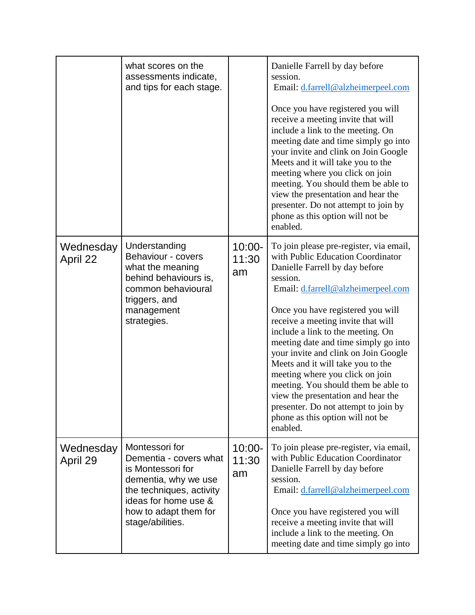|                       | what scores on the<br>assessments indicate,<br>and tips for each stage.                                                                                                                |                          | Danielle Farrell by day before<br>session.<br>Email: d.farrell@alzheimerpeel.com<br>Once you have registered you will<br>receive a meeting invite that will<br>include a link to the meeting. On<br>meeting date and time simply go into<br>your invite and clink on Join Google<br>Meets and it will take you to the<br>meeting where you click on join<br>meeting. You should them be able to<br>view the presentation and hear the<br>presenter. Do not attempt to join by<br>phone as this option will not be<br>enabled.                                                                                 |
|-----------------------|----------------------------------------------------------------------------------------------------------------------------------------------------------------------------------------|--------------------------|---------------------------------------------------------------------------------------------------------------------------------------------------------------------------------------------------------------------------------------------------------------------------------------------------------------------------------------------------------------------------------------------------------------------------------------------------------------------------------------------------------------------------------------------------------------------------------------------------------------|
| Wednesday<br>April 22 | Understanding<br>Behaviour - covers<br>what the meaning<br>behind behaviours is,<br>common behavioural<br>triggers, and<br>management<br>strategies.                                   | $10:00 -$<br>11:30<br>am | To join please pre-register, via email,<br>with Public Education Coordinator<br>Danielle Farrell by day before<br>session.<br>Email: d.farrell@alzheimerpeel.com<br>Once you have registered you will<br>receive a meeting invite that will<br>include a link to the meeting. On<br>meeting date and time simply go into<br>your invite and clink on Join Google<br>Meets and it will take you to the<br>meeting where you click on join<br>meeting. You should them be able to<br>view the presentation and hear the<br>presenter. Do not attempt to join by<br>phone as this option will not be<br>enabled. |
| Wednesday<br>April 29 | Montessori for<br>Dementia - covers what<br>is Montessori for<br>dementia, why we use<br>the techniques, activity<br>ideas for home use &<br>how to adapt them for<br>stage/abilities. | $10:00 -$<br>11:30<br>am | To join please pre-register, via email,<br>with Public Education Coordinator<br>Danielle Farrell by day before<br>session.<br>Email: d.farrell@alzheimerpeel.com<br>Once you have registered you will<br>receive a meeting invite that will<br>include a link to the meeting. On<br>meeting date and time simply go into                                                                                                                                                                                                                                                                                      |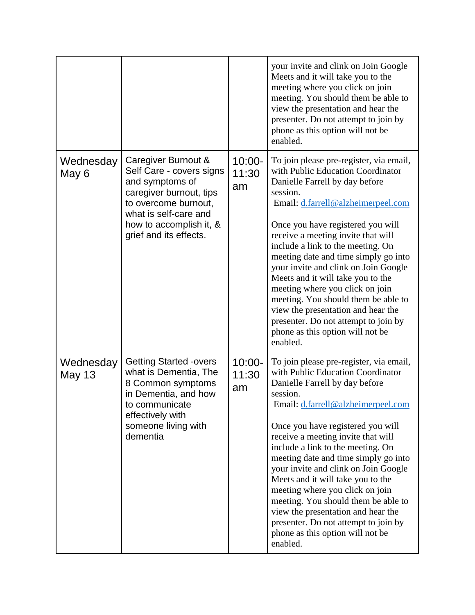|                            |                                                                                                                                                                                                     |                          | your invite and clink on Join Google<br>Meets and it will take you to the<br>meeting where you click on join<br>meeting. You should them be able to<br>view the presentation and hear the<br>presenter. Do not attempt to join by<br>phone as this option will not be<br>enabled.                                                                                                                                                                                                                                                                                                                             |
|----------------------------|-----------------------------------------------------------------------------------------------------------------------------------------------------------------------------------------------------|--------------------------|---------------------------------------------------------------------------------------------------------------------------------------------------------------------------------------------------------------------------------------------------------------------------------------------------------------------------------------------------------------------------------------------------------------------------------------------------------------------------------------------------------------------------------------------------------------------------------------------------------------|
| Wednesday<br>May 6         | Caregiver Burnout &<br>Self Care - covers signs<br>and symptoms of<br>caregiver burnout, tips<br>to overcome burnout,<br>what is self-care and<br>how to accomplish it, &<br>grief and its effects. | $10:00 -$<br>11:30<br>am | To join please pre-register, via email,<br>with Public Education Coordinator<br>Danielle Farrell by day before<br>session.<br>Email: d.farrell@alzheimerpeel.com<br>Once you have registered you will<br>receive a meeting invite that will<br>include a link to the meeting. On<br>meeting date and time simply go into<br>your invite and clink on Join Google<br>Meets and it will take you to the<br>meeting where you click on join<br>meeting. You should them be able to<br>view the presentation and hear the<br>presenter. Do not attempt to join by<br>phone as this option will not be<br>enabled. |
| Wednesday<br><b>May 13</b> | <b>Getting Started -overs</b><br>what is Dementia, The<br>8 Common symptoms<br>in Dementia, and how<br>to communicate<br>effectively with<br>someone living with<br>dementia                        | $10:00 -$<br>11:30<br>am | To join please pre-register, via email,<br>with Public Education Coordinator<br>Danielle Farrell by day before<br>session.<br>Email: d.farrell@alzheimerpeel.com<br>Once you have registered you will<br>receive a meeting invite that will<br>include a link to the meeting. On<br>meeting date and time simply go into<br>your invite and clink on Join Google<br>Meets and it will take you to the<br>meeting where you click on join<br>meeting. You should them be able to<br>view the presentation and hear the<br>presenter. Do not attempt to join by<br>phone as this option will not be<br>enabled. |